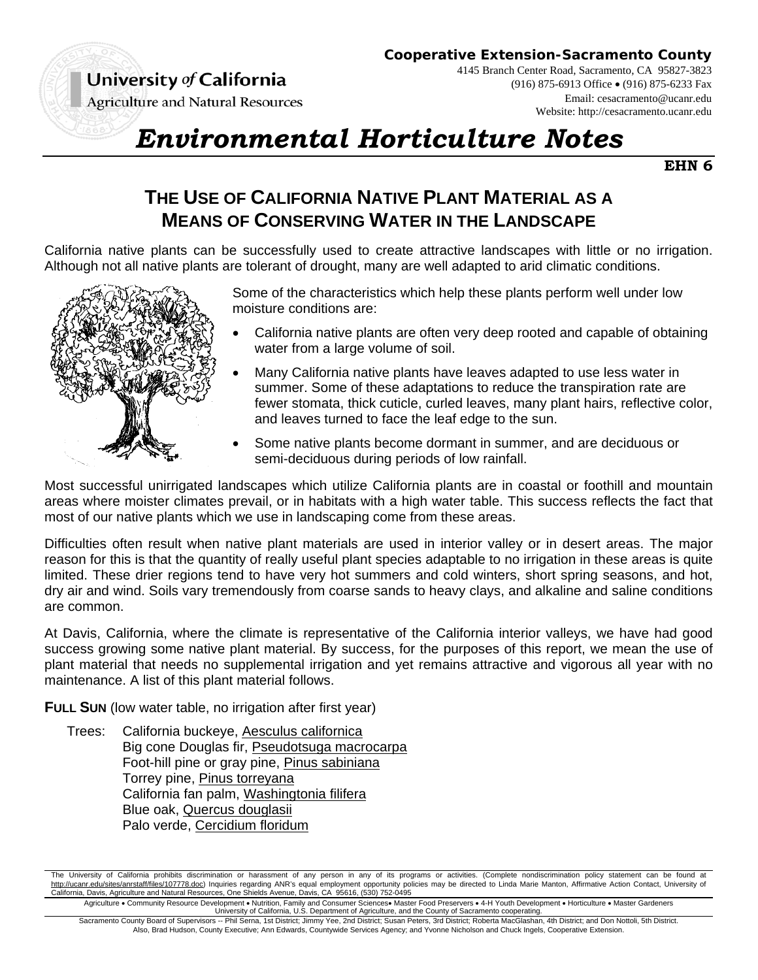University of California

**Cooperative Extension-Sacramento County**

**Agriculture and Natural Resources** 

4145 Branch Center Road, Sacramento, CA 95827-3823 (916) 875-6913 Office (916) 875-6233 Fax Email: cesacramento@ucanr.edu Website: http://cesacramento.ucanr.edu

## *Environmental Horticulture Notes*

**EHN 6**

## **THE USE OF CALIFORNIA NATIVE PLANT MATERIAL AS A MEANS OF CONSERVING WATER IN THE LANDSCAPE**

California native plants can be successfully used to create attractive landscapes with little or no irrigation. Although not all native plants are tolerant of drought, many are well adapted to arid climatic conditions.



Some of the characteristics which help these plants perform well under low moisture conditions are:

- California native plants are often very deep rooted and capable of obtaining water from a large volume of soil.
- Many California native plants have leaves adapted to use less water in summer. Some of these adaptations to reduce the transpiration rate are fewer stomata, thick cuticle, curled leaves, many plant hairs, reflective color, and leaves turned to face the leaf edge to the sun.
- Some native plants become dormant in summer, and are deciduous or semi-deciduous during periods of low rainfall.

Most successful unirrigated landscapes which utilize California plants are in coastal or foothill and mountain areas where moister climates prevail, or in habitats with a high water table. This success reflects the fact that most of our native plants which we use in landscaping come from these areas.

Difficulties often result when native plant materials are used in interior valley or in desert areas. The major reason for this is that the quantity of really useful plant species adaptable to no irrigation in these areas is quite limited. These drier regions tend to have very hot summers and cold winters, short spring seasons, and hot, dry air and wind. Soils vary tremendously from coarse sands to heavy clays, and alkaline and saline conditions are common.

At Davis, California, where the climate is representative of the California interior valleys, we have had good success growing some native plant material. By success, for the purposes of this report, we mean the use of plant material that needs no supplemental irrigation and yet remains attractive and vigorous all year with no maintenance. A list of this plant material follows.

**FULL SUN** (low water table, no irrigation after first year)

 Trees: California buckeye, Aesculus californica Big cone Douglas fir, Pseudotsuga macrocarpa Foot-hill pine or gray pine, Pinus sabiniana Torrey pine, Pinus torreyana California fan palm, Washingtonia filifera Blue oak, Quercus douglasii Palo verde, Cercidium floridum

Agriculture • Community Resource Development • Nutrition, Family and Consumer Sciences• Master Food Preservers • 4-H Youth Development • Horticulture • Master Gardeners<br>University of California, U.S. Department of Agricul

Sacramento County Board of Supervisors -- Phil Serna, 1st District; Jimmy Yee, 2nd District; Susan Peters, 3rd District; Roberta MacGlashan, 4th District; and Don Nottoli, 5th District. Also, Brad Hudson, County Executive; Ann Edwards, Countywide Services Agency; and Yvonne Nicholson and Chuck Ingels, Cooperative Extension.

The University of California prohibits discrimination or harassment of any person in any of its programs or activities. (Complete nondiscrimination policy statement can be found at http://ucanr.edu/sites/anrstaff/files/107778.doc) Inquiries regarding ANR's equal employment opportunity policies may be directed to Linda Marie Manton, Affirmative Action Contact, University of California, Davis, Agriculture and Natural Resources, One Shields Avenue, Davis, CA 95616, (530) 752-0495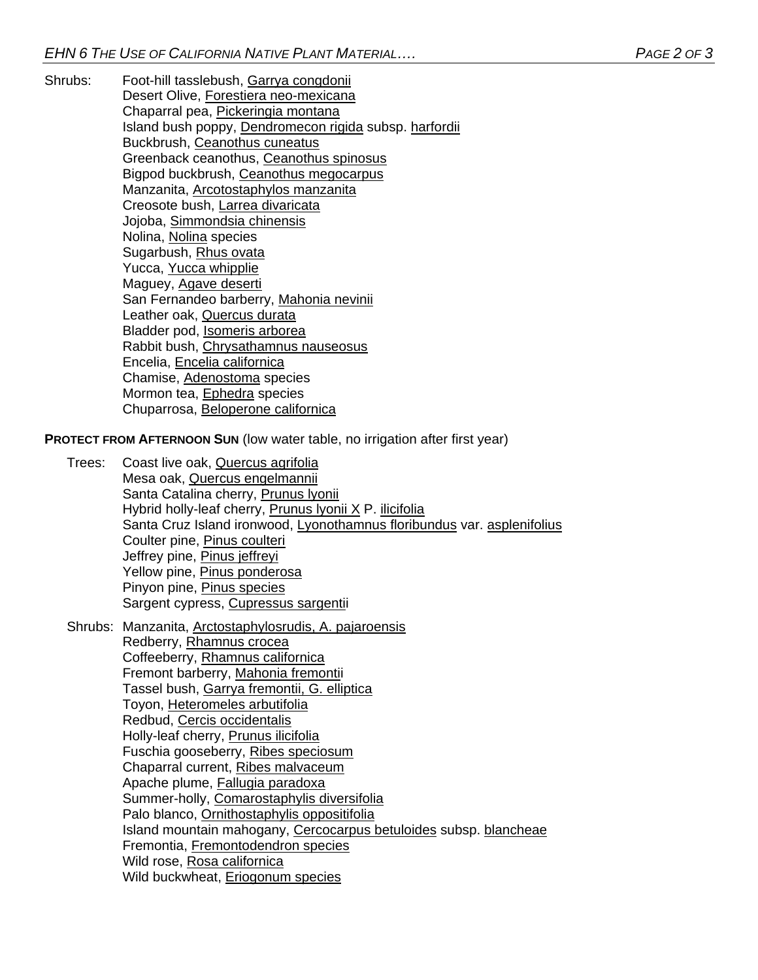Shrubs: Foot-hill tasslebush, Garrya congdonii Desert Olive, Forestiera neo-mexicana Chaparral pea, Pickeringia montana Island bush poppy, Dendromecon rigida subsp. harfordii Buckbrush, Ceanothus cuneatus Greenback ceanothus, Ceanothus spinosus Bigpod buckbrush, Ceanothus megocarpus Manzanita, Arcotostaphylos manzanita Creosote bush, Larrea divaricata Jojoba, Simmondsia chinensis Nolina, Nolina species Sugarbush, Rhus ovata Yucca, Yucca whipplie Maguey, Agave deserti San Fernandeo barberry, Mahonia nevinii Leather oak, Quercus durata Bladder pod, Isomeris arborea Rabbit bush, Chrysathamnus nauseosus Encelia, Encelia californica Chamise, Adenostoma species Mormon tea, Ephedra species Chuparrosa, Beloperone californica

**PROTECT FROM AFTERNOON SUN** (low water table, no irrigation after first year)

- Trees: Coast live oak, Quercus agrifolia Mesa oak, Quercus engelmannii Santa Catalina cherry, Prunus lyonii Hybrid holly-leaf cherry, Prunus lyonii X P. ilicifolia Santa Cruz Island ironwood, Lyonothamnus floribundus var. asplenifolius Coulter pine, Pinus coulteri Jeffrey pine, Pinus jeffreyi Yellow pine, Pinus ponderosa Pinyon pine, Pinus species Sargent cypress, Cupressus sargentii
- Shrubs: Manzanita, Arctostaphylosrudis, A. pajaroensis Redberry, Rhamnus crocea Coffeeberry, Rhamnus californica Fremont barberry, Mahonia fremontii Tassel bush, Garrya fremontii, G. elliptica Toyon, Heteromeles arbutifolia Redbud, Cercis occidentalis Holly-leaf cherry, Prunus ilicifolia Fuschia gooseberry, Ribes speciosum Chaparral current, Ribes malvaceum Apache plume, Fallugia paradoxa Summer-holly, Comarostaphylis diversifolia Palo blanco, Ornithostaphylis oppositifolia Island mountain mahogany, Cercocarpus betuloides subsp. blancheae Fremontia, Fremontodendron species Wild rose, Rosa californica Wild buckwheat, Eriogonum species